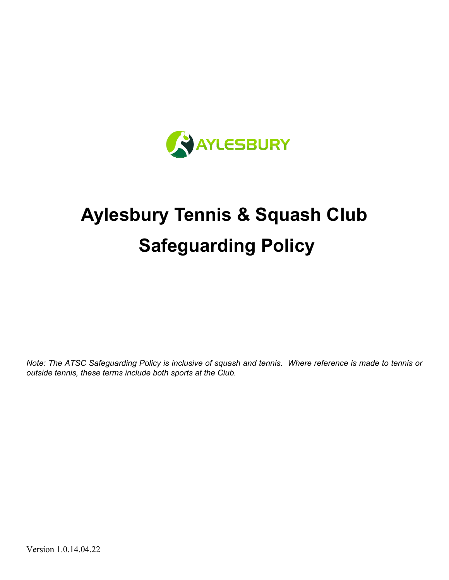

# **Aylesbury Tennis & Squash Club Safeguarding Policy**

*Note: The ATSC Safeguarding Policy is inclusive of squash and tennis. Where reference is made to tennis or outside tennis, these terms include both sports at the Club.*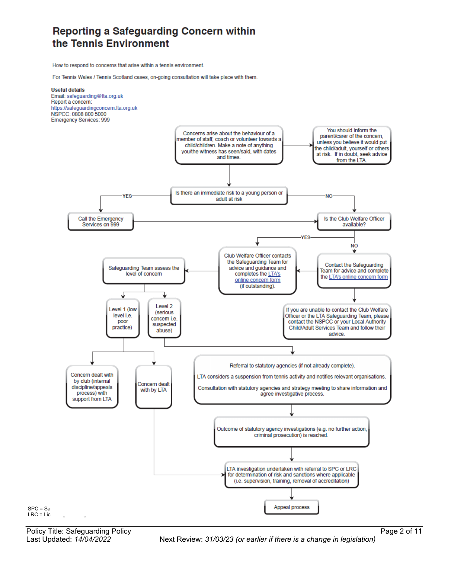### Reporting a Safeguarding Concern within the Tennis Environment

How to respond to concerns that arise within a tennis environment.

For Tennis Wales / Tennis Scotland cases, on-going consultation will take place with them.



Policy Title: Safeguarding Policy **Page 2 of 11** Page 2 of 11

Last Updated: *14/04/2022* Next Review: *31/03/23 (or earlier if there is a change in legislation)*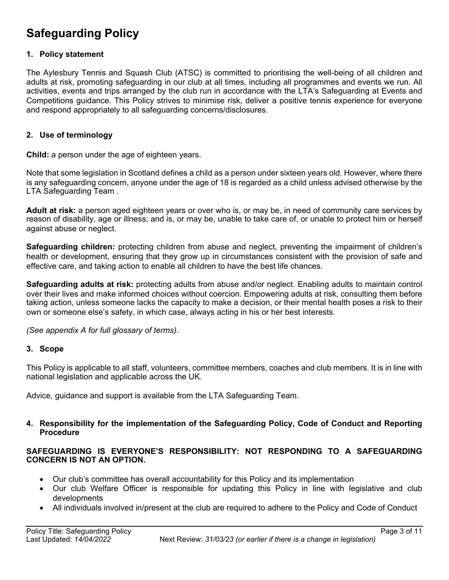## **Safeguarding Policy**

#### **1. Policy statement**

The Aylesbury Tennis and Squash Club (ATSC) is committed to prioritising the well-being of all children and adults at risk, promoting safeguarding in our club at all times, including all programmes and events we run. All activities, events and trips arranged by the club run in accordance with the LTA's Safeguarding at Events and Competitions guidance. This Policy strives to minimise risk, deliver a positive tennis experience for everyone and respond appropriately to all safeguarding concerns/disclosures.

#### **2. Use of terminology**

**Child:** a person under the age of eighteen years.

Note that some legislation in Scotland defines a child as a person under sixteen years old. However, where there is any safeguarding concern, anyone under the age of 18 is regarded as a child unless advised otherwise by the LTA Safeguarding Team .

**Adult at risk:** a person aged eighteen years or over who is, or may be, in need of community care services by reason of disability, age or illness; and is, or may be, unable to take care of, or unable to protect him or herself against abuse or neglect.

**Safeguarding children:** protecting children from abuse and neglect, preventing the impairment of children's health or development, ensuring that they grow up in circumstances consistent with the provision of safe and effective care, and taking action to enable all children to have the best life chances.

**Safeguarding adults at risk:** protecting adults from abuse and/or neglect. Enabling adults to maintain control over their lives and make informed choices without coercion. Empowering adults at risk, consulting them before taking action, unless someone lacks the capacity to make a decision, or their mental health poses a risk to their own or someone else's safety, in which case, always acting in his or her best interests.

*(See appendix A for full glossary of terms)*.

#### **3. Scope**

This Policy is applicable to all staff, volunteers, committee members, coaches and club members. It is in line with national legislation and applicable across the UK.

Advice, guidance and support is available from the LTA Safeguarding Team.

#### **4. Responsibility for the implementation of the Safeguarding Policy, Code of Conduct and Reporting Procedure**

#### **SAFEGUARDING IS EVERYONE'S RESPONSIBILITY: NOT RESPONDING TO A SAFEGUARDING CONCERN IS NOT AN OPTION.**

- Our club's committee has overall accountability for this Policy and its implementation
- Our club Welfare Officer is responsible for updating this Policy in line with legislative and club developments
- All individuals involved in/present at the club are required to adhere to the Policy and Code of Conduct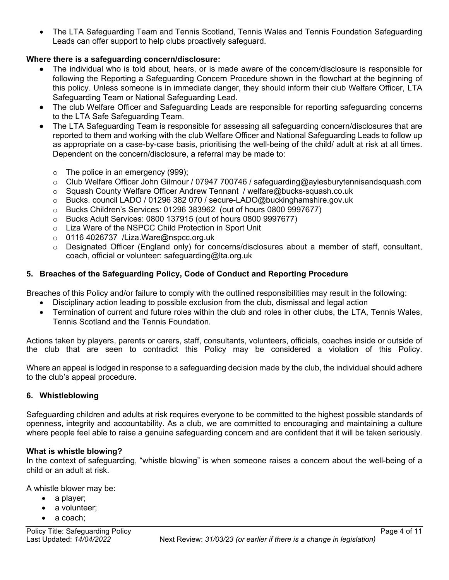• The LTA Safeguarding Team and Tennis Scotland, Tennis Wales and Tennis Foundation Safeguarding Leads can offer support to help clubs proactively safeguard.

#### **Where there is a safeguarding concern/disclosure:**

- The individual who is told about, hears, or is made aware of the concern/disclosure is responsible for following the Reporting a Safeguarding Concern Procedure shown in the flowchart at the beginning of this policy. Unless someone is in immediate danger, they should inform their club Welfare Officer, LTA Safeguarding Team or National Safeguarding Lead.
- The club Welfare Officer and Safeguarding Leads are responsible for reporting safeguarding concerns to the LTA Safe Safeguarding Team.
- The LTA Safeguarding Team is responsible for assessing all safeguarding concern/disclosures that are reported to them and working with the club Welfare Officer and National Safeguarding Leads to follow up as appropriate on a case-by-case basis, prioritising the well-being of the child/ adult at risk at all times. Dependent on the concern/disclosure, a referral may be made to:
	- $\circ$  The police in an emergency (999);
	- o Club Welfare Officer John Gilmour / 07947 700746 / safeguarding@aylesburytennisandsquash.com
	- o Squash County Welfare Officer Andrew Tennant / welfare@bucks-squash.co.uk
	- o Bucks. council LADO / 01296 382 070 / secure-LADO@buckinghamshire.gov.uk
	- o Bucks Children's Services: 01296 383962 (out of hours 0800 9997677)
	- o Bucks Adult Services: 0800 137915 (out of hours 0800 9997677)
	- o Liza Ware of the NSPCC Child Protection in Sport Unit
	- o 0116 4026737 /Liza.Ware@nspcc.org.uk
	- $\circ$  Designated Officer (England only) for concerns/disclosures about a member of staff, consultant, coach, official or volunteer: safeguarding@lta.org.uk

#### **5. Breaches of the Safeguarding Policy, Code of Conduct and Reporting Procedure**

Breaches of this Policy and/or failure to comply with the outlined responsibilities may result in the following:

- Disciplinary action leading to possible exclusion from the club, dismissal and legal action
- Termination of current and future roles within the club and roles in other clubs, the LTA, Tennis Wales, Tennis Scotland and the Tennis Foundation*.*

Actions taken by players, parents or carers, staff, consultants, volunteers, officials, coaches inside or outside of the club that are seen to contradict this Policy may be considered a violation of this Policy.

Where an appeal is lodged in response to a safeguarding decision made by the club, the individual should adhere to the club's appeal procedure.

#### **6. Whistleblowing**

Safeguarding children and adults at risk requires everyone to be committed to the highest possible standards of openness, integrity and accountability. As a club, we are committed to encouraging and maintaining a culture where people feel able to raise a genuine safeguarding concern and are confident that it will be taken seriously.

#### **What is whistle blowing?**

In the context of safeguarding, "whistle blowing" is when someone raises a concern about the well-being of a child or an adult at risk.

A whistle blower may be:

- a player;
- a volunteer;
- a coach: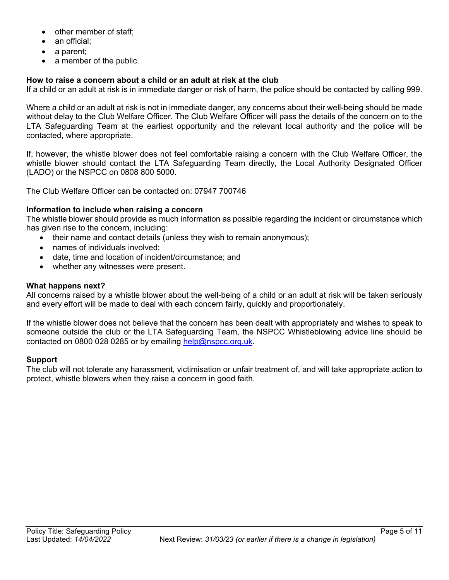- other member of staff;
- an official;
- a parent;
- a member of the public.

#### **How to raise a concern about a child or an adult at risk at the club**

If a child or an adult at risk is in immediate danger or risk of harm, the police should be contacted by calling 999.

Where a child or an adult at risk is not in immediate danger, any concerns about their well-being should be made without delay to the Club Welfare Officer. The Club Welfare Officer will pass the details of the concern on to the LTA Safeguarding Team at the earliest opportunity and the relevant local authority and the police will be contacted, where appropriate.

If, however, the whistle blower does not feel comfortable raising a concern with the Club Welfare Officer, the whistle blower should contact the LTA Safeguarding Team directly, the Local Authority Designated Officer (LADO) or the NSPCC on 0808 800 5000.

The Club Welfare Officer can be contacted on: 07947 700746

#### **Information to include when raising a concern**

The whistle blower should provide as much information as possible regarding the incident or circumstance which has given rise to the concern, including:

- their name and contact details (unless they wish to remain anonymous);
- names of individuals involved;
- date, time and location of incident/circumstance; and
- whether any witnesses were present.

#### **What happens next?**

All concerns raised by a whistle blower about the well-being of a child or an adult at risk will be taken seriously and every effort will be made to deal with each concern fairly, quickly and proportionately.

If the whistle blower does not believe that the concern has been dealt with appropriately and wishes to speak to someone outside the club or the LTA Safeguarding Team, the NSPCC Whistleblowing advice line should be contacted on 0800 028 0285 or by emailing help@nspcc.org.uk.

#### **Support**

The club will not tolerate any harassment, victimisation or unfair treatment of, and will take appropriate action to protect, whistle blowers when they raise a concern in good faith.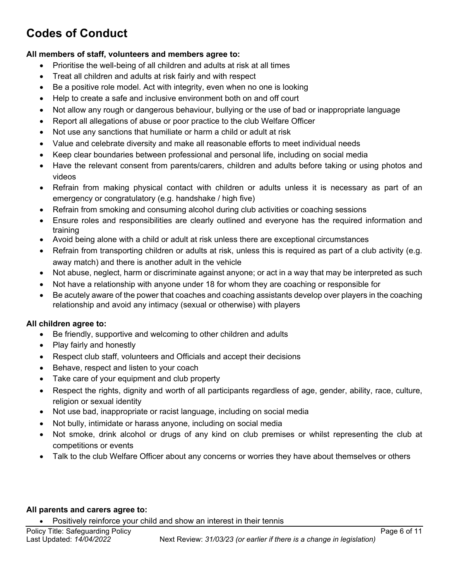# **Codes of Conduct**

#### **All members of staff, volunteers and members agree to:**

- Prioritise the well-being of all children and adults at risk at all times
- Treat all children and adults at risk fairly and with respect
- Be a positive role model. Act with integrity, even when no one is looking
- Help to create a safe and inclusive environment both on and off court
- Not allow any rough or dangerous behaviour, bullying or the use of bad or inappropriate language
- Report all allegations of abuse or poor practice to the club Welfare Officer
- Not use any sanctions that humiliate or harm a child or adult at risk
- Value and celebrate diversity and make all reasonable efforts to meet individual needs
- Keep clear boundaries between professional and personal life, including on social media
- Have the relevant consent from parents/carers, children and adults before taking or using photos and videos
- Refrain from making physical contact with children or adults unless it is necessary as part of an emergency or congratulatory (e.g. handshake / high five)
- Refrain from smoking and consuming alcohol during club activities or coaching sessions
- Ensure roles and responsibilities are clearly outlined and everyone has the required information and training
- Avoid being alone with a child or adult at risk unless there are exceptional circumstances
- Refrain from transporting children or adults at risk, unless this is required as part of a club activity (e.g. away match) and there is another adult in the vehicle
- Not abuse, neglect, harm or discriminate against anyone; or act in a way that may be interpreted as such
- Not have a relationship with anyone under 18 for whom they are coaching or responsible for
- Be acutely aware of the power that coaches and coaching assistants develop over players in the coaching relationship and avoid any intimacy (sexual or otherwise) with players

#### **All children agree to:**

- Be friendly, supportive and welcoming to other children and adults
- Play fairly and honestly
- Respect club staff, volunteers and Officials and accept their decisions
- Behave, respect and listen to your coach
- Take care of your equipment and club property
- Respect the rights, dignity and worth of all participants regardless of age, gender, ability, race, culture, religion or sexual identity
- Not use bad, inappropriate or racist language, including on social media
- Not bully, intimidate or harass anyone, including on social media
- Not smoke, drink alcohol or drugs of any kind on club premises or whilst representing the club at competitions or events
- Talk to the club Welfare Officer about any concerns or worries they have about themselves or others

#### **All parents and carers agree to:**

• Positively reinforce your child and show an interest in their tennis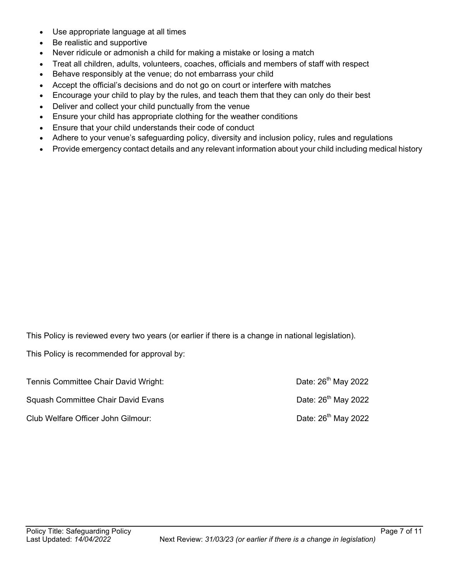- Use appropriate language at all times
- Be realistic and supportive
- Never ridicule or admonish a child for making a mistake or losing a match
- Treat all children, adults, volunteers, coaches, officials and members of staff with respect
- Behave responsibly at the venue; do not embarrass your child
- Accept the official's decisions and do not go on court or interfere with matches
- Encourage your child to play by the rules, and teach them that they can only do their best
- Deliver and collect your child punctually from the venue
- Ensure your child has appropriate clothing for the weather conditions
- Ensure that your child understands their code of conduct
- Adhere to your venue's safeguarding policy, diversity and inclusion policy, rules and regulations
- Provide emergency contact details and any relevant information about your child including medical history

This Policy is reviewed every two years (or earlier if there is a change in national legislation).

This Policy is recommended for approval by:

| Tennis Committee Chair David Wright: | Date: 26 <sup>th</sup> May 2022 |
|--------------------------------------|---------------------------------|
| Squash Committee Chair David Evans   | Date: 26 <sup>th</sup> May 2022 |
| Club Welfare Officer John Gilmour:   | Date: 26 <sup>th</sup> May 2022 |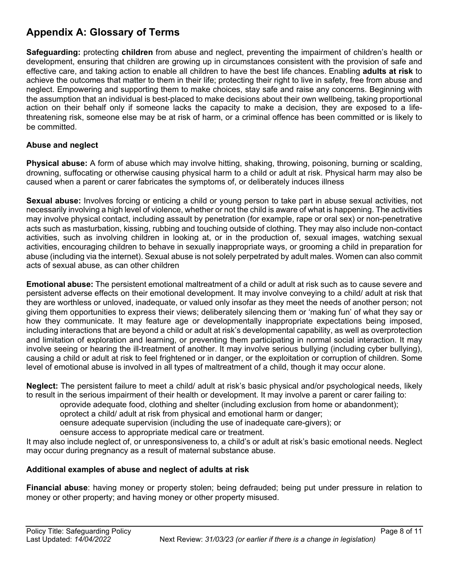## **Appendix A: Glossary of Terms**

**Safeguarding:** protecting **children** from abuse and neglect, preventing the impairment of children's health or development, ensuring that children are growing up in circumstances consistent with the provision of safe and effective care, and taking action to enable all children to have the best life chances. Enabling **adults at risk** to achieve the outcomes that matter to them in their life; protecting their right to live in safety, free from abuse and neglect. Empowering and supporting them to make choices, stay safe and raise any concerns. Beginning with the assumption that an individual is best-placed to make decisions about their own wellbeing, taking proportional action on their behalf only if someone lacks the capacity to make a decision, they are exposed to a lifethreatening risk, someone else may be at risk of harm, or a criminal offence has been committed or is likely to be committed.

#### **Abuse and neglect**

**Physical abuse:** A form of abuse which may involve hitting, shaking, throwing, poisoning, burning or scalding, drowning, suffocating or otherwise causing physical harm to a child or adult at risk. Physical harm may also be caused when a parent or carer fabricates the symptoms of, or deliberately induces illness

**Sexual abuse:** Involves forcing or enticing a child or young person to take part in abuse sexual activities, not necessarily involving a high level of violence, whether or not the child is aware of what is happening. The activities may involve physical contact, including assault by penetration (for example, rape or oral sex) or non-penetrative acts such as masturbation, kissing, rubbing and touching outside of clothing. They may also include non-contact activities, such as involving children in looking at, or in the production of, sexual images, watching sexual activities, encouraging children to behave in sexually inappropriate ways, or grooming a child in preparation for abuse (including via the internet). Sexual abuse is not solely perpetrated by adult males. Women can also commit acts of sexual abuse, as can other children

**Emotional abuse:** The persistent emotional maltreatment of a child or adult at risk such as to cause severe and persistent adverse effects on their emotional development. It may involve conveying to a child/ adult at risk that they are worthless or unloved, inadequate, or valued only insofar as they meet the needs of another person; not giving them opportunities to express their views; deliberately silencing them or 'making fun' of what they say or how they communicate. It may feature age or developmentally inappropriate expectations being imposed, including interactions that are beyond a child or adult at risk's developmental capability, as well as overprotection and limitation of exploration and learning, or preventing them participating in normal social interaction. It may involve seeing or hearing the ill-treatment of another. It may involve serious bullying (including cyber bullying), causing a child or adult at risk to feel frightened or in danger, or the exploitation or corruption of children. Some level of emotional abuse is involved in all types of maltreatment of a child, though it may occur alone.

**Neglect:** The persistent failure to meet a child/ adult at risk's basic physical and/or psychological needs, likely to result in the serious impairment of their health or development. It may involve a parent or carer failing to:

oprovide adequate food, clothing and shelter (including exclusion from home or abandonment);

oprotect a child/ adult at risk from physical and emotional harm or danger;

oensure adequate supervision (including the use of inadequate care-givers); or

oensure access to appropriate medical care or treatment.

It may also include neglect of, or unresponsiveness to, a child's or adult at risk's basic emotional needs. Neglect may occur during pregnancy as a result of maternal substance abuse.

#### **Additional examples of abuse and neglect of adults at risk**

**Financial abuse**: having money or property stolen; being defrauded; being put under pressure in relation to money or other property; and having money or other property misused.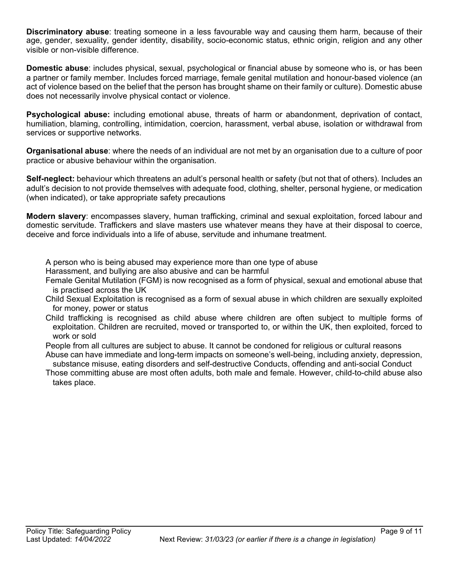**Discriminatory abuse**: treating someone in a less favourable way and causing them harm, because of their age, gender, sexuality, gender identity, disability, socio-economic status, ethnic origin, religion and any other visible or non-visible difference.

**Domestic abuse**: includes physical, sexual, psychological or financial abuse by someone who is, or has been a partner or family member. Includes forced marriage, female genital mutilation and honour-based violence (an act of violence based on the belief that the person has brought shame on their family or culture). Domestic abuse does not necessarily involve physical contact or violence.

**Psychological abuse:** including emotional abuse, threats of harm or abandonment, deprivation of contact, humiliation, blaming, controlling, intimidation, coercion, harassment, verbal abuse, isolation or withdrawal from services or supportive networks.

**Organisational abuse**: where the needs of an individual are not met by an organisation due to a culture of poor practice or abusive behaviour within the organisation.

**Self-neglect:** behaviour which threatens an adult's personal health or safety (but not that of others). Includes an adult's decision to not provide themselves with adequate food, clothing, shelter, personal hygiene, or medication (when indicated), or take appropriate safety precautions

**Modern slavery**: encompasses slavery, human trafficking, criminal and sexual exploitation, forced labour and domestic servitude. Traffickers and slave masters use whatever means they have at their disposal to coerce, deceive and force individuals into a life of abuse, servitude and inhumane treatment.

A person who is being abused may experience more than one type of abuse

Harassment, and bullying are also abusive and can be harmful

Female Genital Mutilation (FGM) is now recognised as a form of physical, sexual and emotional abuse that is practised across the UK

Child Sexual Exploitation is recognised as a form of sexual abuse in which children are sexually exploited for money, power or status

Child trafficking is recognised as child abuse where children are often subject to multiple forms of exploitation. Children are recruited, moved or transported to, or within the UK, then exploited, forced to work or sold

People from all cultures are subject to abuse. It cannot be condoned for religious or cultural reasons Abuse can have immediate and long-term impacts on someone's well-being, including anxiety, depression,

substance misuse, eating disorders and self-destructive Conducts, offending and anti-social Conduct Those committing abuse are most often adults, both male and female. However, child-to-child abuse also takes place.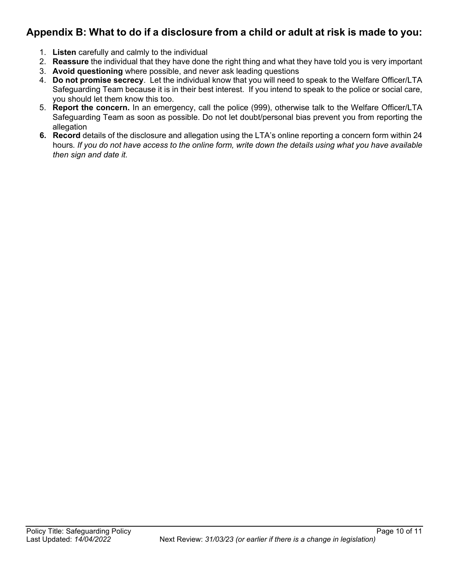## **Appendix B: What to do if a disclosure from a child or adult at risk is made to you:**

- 1. **Listen** carefully and calmly to the individual
- 2. **Reassure** the individual that they have done the right thing and what they have told you is very important
- 3. **Avoid questioning** where possible, and never ask leading questions
- 4. **Do not promise secrecy**. Let the individual know that you will need to speak to the Welfare Officer/LTA Safeguarding Team because it is in their best interest. If you intend to speak to the police or social care, you should let them know this too.
- 5. **Report the concern.** In an emergency, call the police (999), otherwise talk to the Welfare Officer/LTA Safeguarding Team as soon as possible. Do not let doubt/personal bias prevent you from reporting the allegation
- **6. Record** details of the disclosure and allegation using the LTA's online reporting a concern form within 24 hours*. If you do not have access to the online form, write down the details using what you have available then sign and date it.*